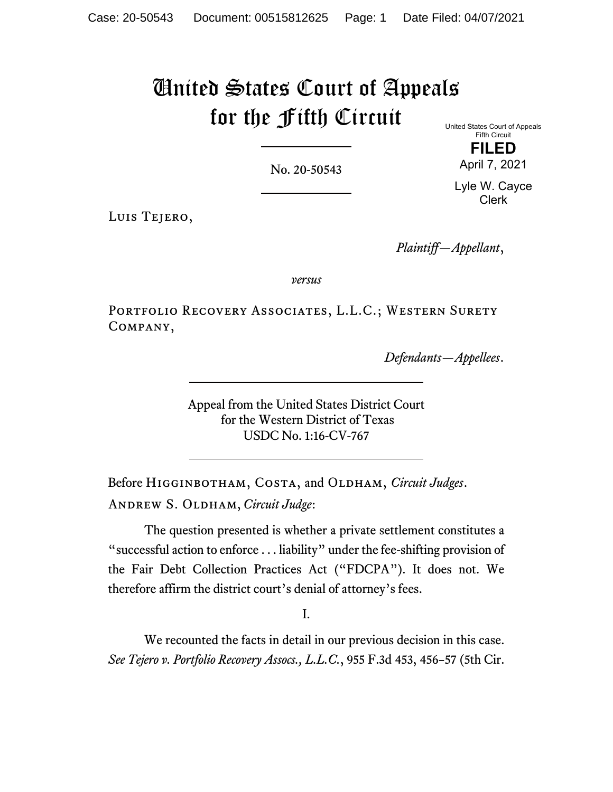# United States Court of Appeals for the Fifth Circuit

No. 20-50543

United States Court of Appeals Fifth Circuit **FILED**

April 7, 2021 Lyle W. Cayce

Clerk

Luis Tejero,

*Plaintiff—Appellant*,

*versus*

PORTFOLIO RECOVERY ASSOCIATES, L.L.C.; WESTERN SURETY Company,

*Defendants—Appellees*.

Appeal from the United States District Court for the Western District of Texas USDC No. 1:16-CV-767

Before HIGGINBOTHAM, COSTA, and OLDHAM, *Circuit Judges*. Andrew S. Oldham, *Circuit Judge*:

The question presented is whether a private settlement constitutes a "successful action to enforce . . . liability" under the fee-shifting provision of the Fair Debt Collection Practices Act ("FDCPA"). It does not. We therefore affirm the district court's denial of attorney's fees.

I.

We recounted the facts in detail in our previous decision in this case. *See Tejero v. Portfolio Recovery Assocs., L.L.C.*, 955 F.3d 453, 456–57 (5th Cir.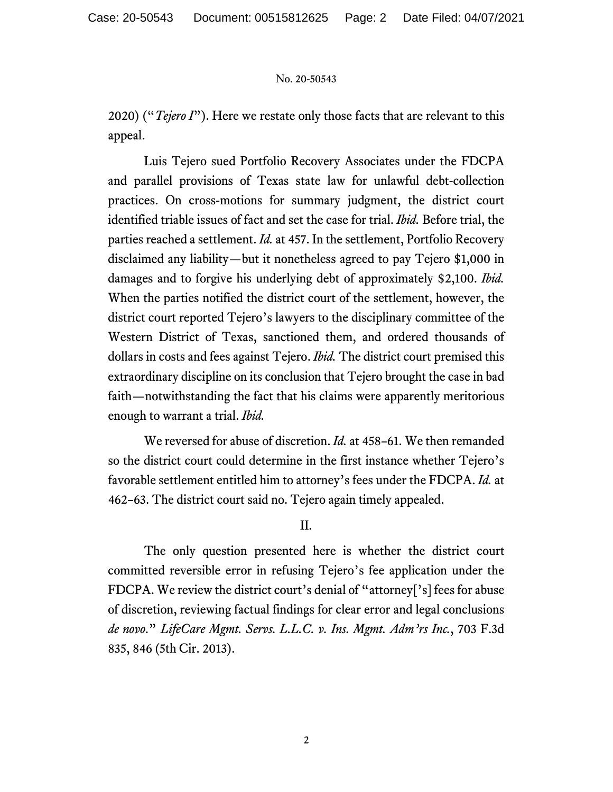2020) ("*Tejero I*"). Here we restate only those facts that are relevant to this appeal.

Luis Tejero sued Portfolio Recovery Associates under the FDCPA and parallel provisions of Texas state law for unlawful debt-collection practices. On cross-motions for summary judgment, the district court identified triable issues of fact and set the case for trial. *Ibid.* Before trial, the parties reached a settlement. *Id.* at 457. In the settlement, Portfolio Recovery disclaimed any liability—but it nonetheless agreed to pay Tejero \$1,000 in damages and to forgive his underlying debt of approximately \$2,100. *Ibid.* When the parties notified the district court of the settlement, however, the district court reported Tejero's lawyers to the disciplinary committee of the Western District of Texas, sanctioned them, and ordered thousands of dollars in costs and fees against Tejero. *Ibid.* The district court premised this extraordinary discipline on its conclusion that Tejero brought the case in bad faith—notwithstanding the fact that his claims were apparently meritorious enough to warrant a trial. *Ibid.*

We reversed for abuse of discretion. *Id.* at 458–61. We then remanded so the district court could determine in the first instance whether Tejero's favorable settlement entitled him to attorney's fees under the FDCPA. *Id.* at 462–63. The district court said no. Tejero again timely appealed.

## II.

The only question presented here is whether the district court committed reversible error in refusing Tejero's fee application under the FDCPA. We review the district court's denial of "attorney['s] fees for abuse of discretion, reviewing factual findings for clear error and legal conclusions *de novo*." *LifeCare Mgmt. Servs. L.L.C. v. Ins. Mgmt. Adm'rs Inc.*, 703 F.3d 835, 846 (5th Cir. 2013).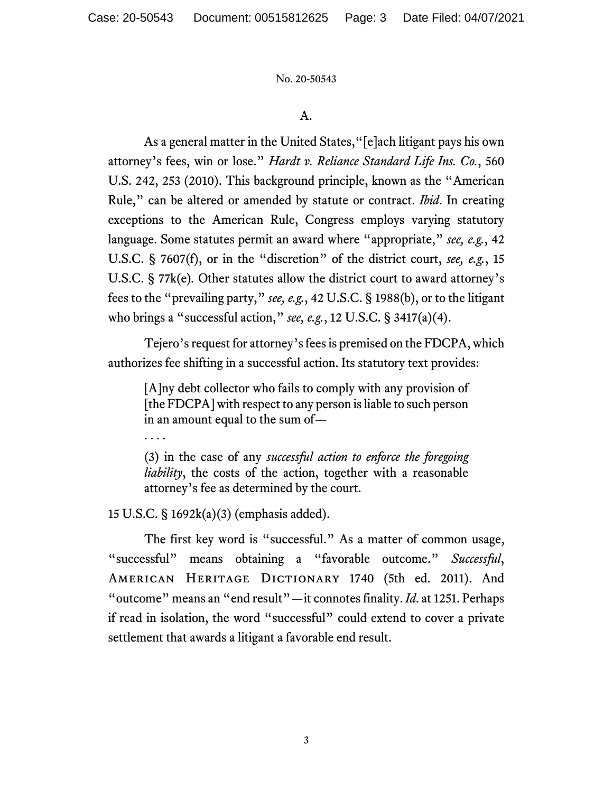## A.

As a general matter in the United States,"[e]ach litigant pays his own attorney's fees, win or lose." *Hardt v. Reliance Standard Life Ins. Co.*, 560 U.S. 242, 253 (2010). This background principle, known as the "American Rule," can be altered or amended by statute or contract. *Ibid*. In creating exceptions to the American Rule, Congress employs varying statutory language. Some statutes permit an award where "appropriate," *see, e.g.*, 42 U.S.C. § 7607(f), or in the "discretion" of the district court, *see, e.g.*, 15 U.S.C. § 77k(e)*.* Other statutes allow the district court to award attorney's fees to the "prevailing party," *see, e.g.*, 42 U.S.C. § 1988(b), or to the litigant who brings a "successful action," *see, e.g.*, 12 U.S.C. § 3417(a)(4).

Tejero's request for attorney's fees is premised on the FDCPA, which authorizes fee shifting in a successful action. Its statutory text provides:

[A]ny debt collector who fails to comply with any provision of [the FDCPA] with respect to any person is liable to such person in an amount equal to the sum of—

. . . .

(3) in the case of any *successful action to enforce the foregoing liability*, the costs of the action, together with a reasonable attorney's fee as determined by the court.

15 U.S.C. § 1692k(a)(3) (emphasis added).

The first key word is "successful." As a matter of common usage, "successful" means obtaining a "favorable outcome." *Successful*, AMERICAN HERITAGE DICTIONARY 1740 (5th ed. 2011). And "outcome" means an "end result"—it connotes finality. *Id*. at 1251. Perhaps if read in isolation, the word "successful" could extend to cover a private settlement that awards a litigant a favorable end result.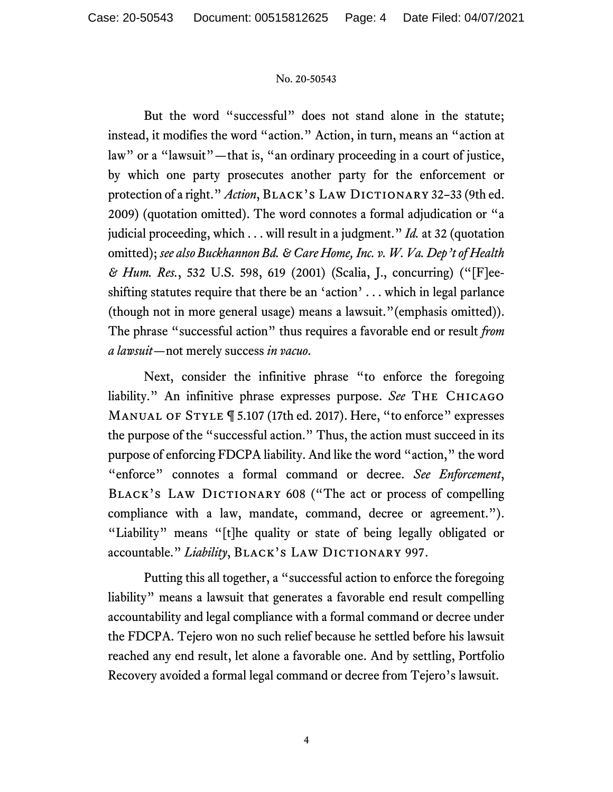But the word "successful" does not stand alone in the statute; instead, it modifies the word "action." Action, in turn, means an "action at law" or a "lawsuit"—that is, "an ordinary proceeding in a court of justice, by which one party prosecutes another party for the enforcement or protection of a right." *Action*, BLACK's LAW DICTIONARY 32-33 (9th ed. 2009) (quotation omitted). The word connotes a formal adjudication or "a judicial proceeding, which . . . will result in a judgment." *Id.* at 32 (quotation omitted); *see also Buckhannon Bd. & Care Home, Inc. v. W. Va. Dep't of Health & Hum. Res.*, 532 U.S. 598, 619 (2001) (Scalia, J., concurring) ("[F]eeshifting statutes require that there be an 'action' . . . which in legal parlance (though not in more general usage) means a lawsuit."(emphasis omitted)). The phrase "successful action" thus requires a favorable end or result *from a lawsuit—*not merely success *in vacuo*.

Next, consider the infinitive phrase "to enforce the foregoing liability." An infinitive phrase expresses purpose. *See* The Chicago Manual of Style ¶ 5.107 (17th ed. 2017). Here, "to enforce" expresses the purpose of the "successful action." Thus, the action must succeed in its purpose of enforcing FDCPA liability. And like the word "action," the word "enforce" connotes a formal command or decree. *See Enforcement*, BLACK'S LAW DICTIONARY 608 ("The act or process of compelling compliance with a law, mandate, command, decree or agreement."). "Liability" means "[t]he quality or state of being legally obligated or accountable." Liability, BLACK'S LAW DICTIONARY 997.

Putting this all together, a "successful action to enforce the foregoing liability" means a lawsuit that generates a favorable end result compelling accountability and legal compliance with a formal command or decree under the FDCPA. Tejero won no such relief because he settled before his lawsuit reached any end result, let alone a favorable one. And by settling, Portfolio Recovery avoided a formal legal command or decree from Tejero's lawsuit.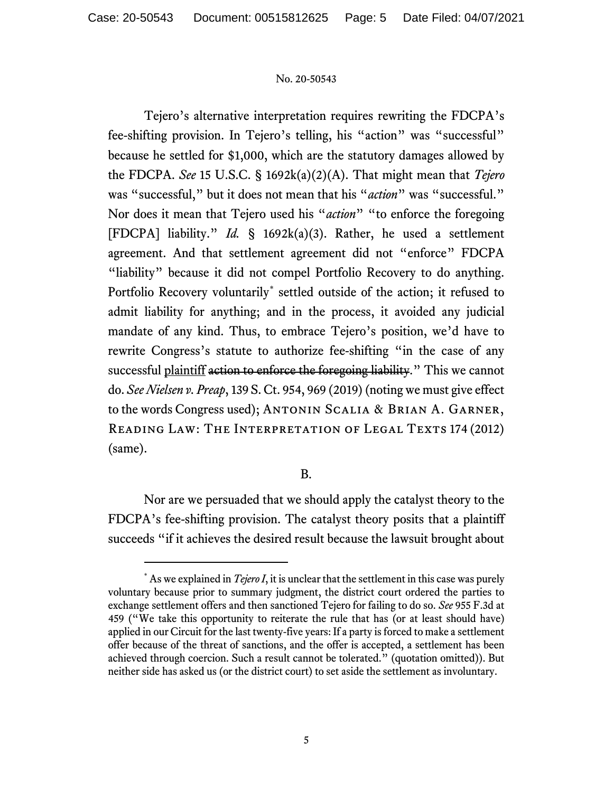Tejero's alternative interpretation requires rewriting the FDCPA's fee-shifting provision. In Tejero's telling, his "action" was "successful" because he settled for \$1,000, which are the statutory damages allowed by the FDCPA. *See* 15 U.S.C. § 1692k(a)(2)(A). That might mean that *Tejero* was "successful," but it does not mean that his "*action*" was "successful." Nor does it mean that Tejero used his "*action*" "to enforce the foregoing [FDCPA] liability." *Id.* § 1692k(a)(3). Rather, he used a settlement agreement. And that settlement agreement did not "enforce" FDCPA "liability" because it did not compel Portfolio Recovery to do anything. Portfolio Recovery voluntarily[\\*](#page-4-0) settled outside of the action; it refused to admit liability for anything; and in the process, it avoided any judicial mandate of any kind. Thus, to embrace Tejero's position, we'd have to rewrite Congress's statute to authorize fee-shifting "in the case of any successful plaintiff action to enforce the foregoing liability." This we cannot do. *See Nielsen v. Preap*, 139 S. Ct. 954, 969 (2019) (noting we must give effect to the words Congress used); Antonin Scalia & Brian A. Garner, READING LAW: THE INTERPRETATION OF LEGAL TEXTS 174 (2012) (same).

## B.

Nor are we persuaded that we should apply the catalyst theory to the FDCPA's fee-shifting provision. The catalyst theory posits that a plaintiff succeeds "if it achieves the desired result because the lawsuit brought about

<span id="page-4-0"></span><sup>\*</sup> As we explained in *Tejero I*, it is unclear that the settlement in this case was purely voluntary because prior to summary judgment, the district court ordered the parties to exchange settlement offers and then sanctioned Tejero for failing to do so. *See* 955 F.3d at 459 ("We take this opportunity to reiterate the rule that has (or at least should have) applied in our Circuit for the last twenty-five years: If a party is forced to make a settlement offer because of the threat of sanctions, and the offer is accepted, a settlement has been achieved through coercion. Such a result cannot be tolerated." (quotation omitted)). But neither side has asked us (or the district court) to set aside the settlement as involuntary.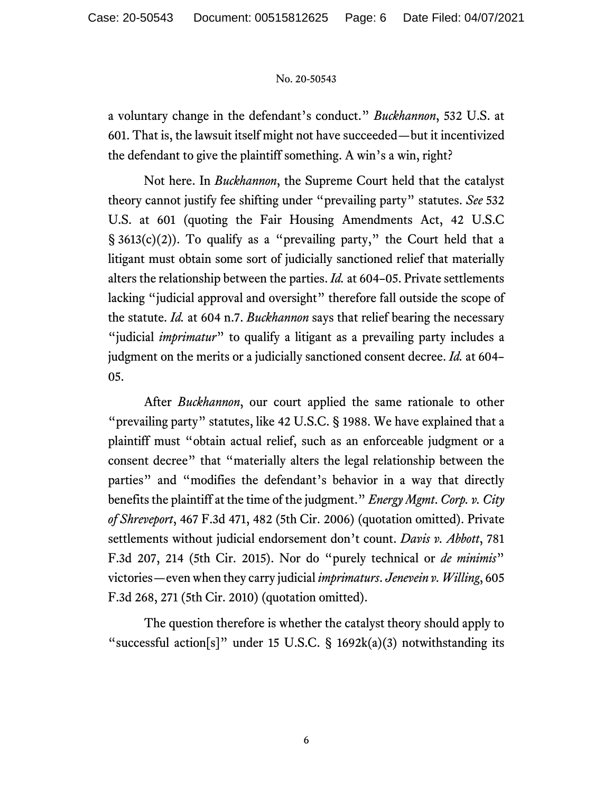a voluntary change in the defendant's conduct." *Buckhannon*, 532 U.S. at 601. That is, the lawsuit itself might not have succeeded—but it incentivized the defendant to give the plaintiff something. A win's a win, right?

Not here. In *Buckhannon*, the Supreme Court held that the catalyst theory cannot justify fee shifting under "prevailing party" statutes. *See* 532 U.S. at 601 (quoting the Fair Housing Amendments Act, 42 U.S.C §  $3613(c)(2)$ ). To qualify as a "prevailing party," the Court held that a litigant must obtain some sort of judicially sanctioned relief that materially alters the relationship between the parties. *Id.* at 604–05. Private settlements lacking "judicial approval and oversight" therefore fall outside the scope of the statute. *Id.* at 604 n.7. *Buckhannon* says that relief bearing the necessary "judicial *imprimatur*" to qualify a litigant as a prevailing party includes a judgment on the merits or a judicially sanctioned consent decree. *Id.* at 604– 05.

After *Buckhannon*, our court applied the same rationale to other "prevailing party" statutes, like 42 U.S.C. § 1988. We have explained that a plaintiff must "obtain actual relief, such as an enforceable judgment or a consent decree" that "materially alters the legal relationship between the parties" and "modifies the defendant's behavior in a way that directly benefits the plaintiff at the time of the judgment." *Energy Mgmt*. *Corp. v. City of Shreveport*, 467 F.3d 471, 482 (5th Cir. 2006) (quotation omitted). Private settlements without judicial endorsement don't count. *Davis v. Abbott*, 781 F.3d 207, 214 (5th Cir. 2015). Nor do "purely technical or *de minimis*" victories—even when they carry judicial *imprimaturs*. *Jenevein v. Willing*, 605 F.3d 268, 271 (5th Cir. 2010) (quotation omitted).

The question therefore is whether the catalyst theory should apply to "successful action[s]" under 15 U.S.C.  $\S$  1692k(a)(3) notwithstanding its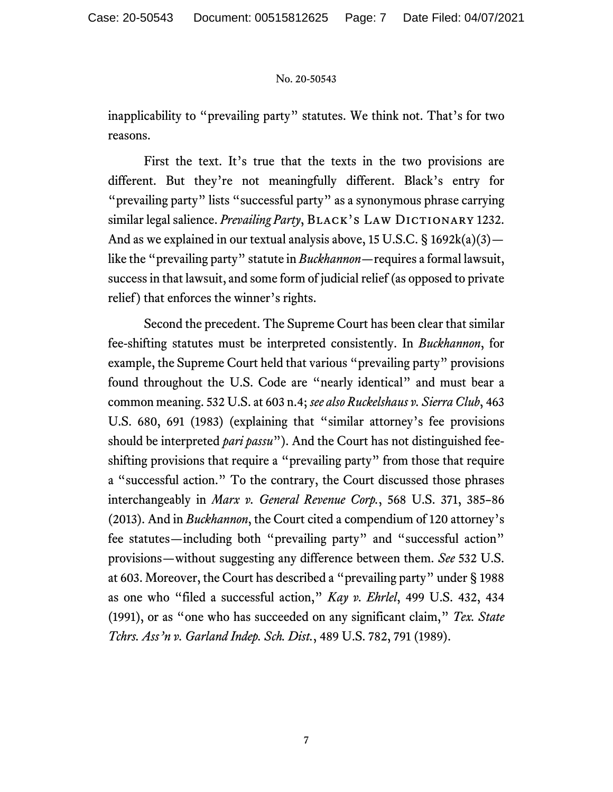inapplicability to "prevailing party" statutes. We think not. That's for two reasons.

First the text. It's true that the texts in the two provisions are different. But they're not meaningfully different. Black's entry for "prevailing party" lists "successful party" as a synonymous phrase carrying similar legal salience. *Prevailing Party*, BLACK's LAW DICTIONARY 1232. And as we explained in our textual analysis above, 15 U.S.C.  $\S$  1692k(a)(3) like the "prevailing party" statute in *Buckhannon*—requires a formal lawsuit, success in that lawsuit, and some form of judicial relief (as opposed to private relief) that enforces the winner's rights.

Second the precedent. The Supreme Court has been clear that similar fee-shifting statutes must be interpreted consistently. In *Buckhannon*, for example, the Supreme Court held that various "prevailing party" provisions found throughout the U.S. Code are "nearly identical" and must bear a common meaning. 532 U.S. at 603 n.4; *see also Ruckelshaus v. Sierra Club*, 463 U.S. 680, 691 (1983) (explaining that "similar attorney's fee provisions should be interpreted *pari passu*"). And the Court has not distinguished feeshifting provisions that require a "prevailing party" from those that require a "successful action." To the contrary, the Court discussed those phrases interchangeably in *Marx v. General Revenue Corp.*, 568 U.S. 371, 385–86 (2013). And in *Buckhannon*, the Court cited a compendium of 120 attorney's fee statutes—including both "prevailing party" and "successful action" provisions—without suggesting any difference between them. *See* 532 U.S. at 603. Moreover, the Court has described a "prevailing party" under § 1988 as one who "filed a successful action," *Kay v. Ehrlel*, 499 U.S. 432, 434 (1991), or as "one who has succeeded on any significant claim," *Tex. State Tchrs. Ass'n v. Garland Indep. Sch. Dist.*, 489 U.S. 782, 791 (1989).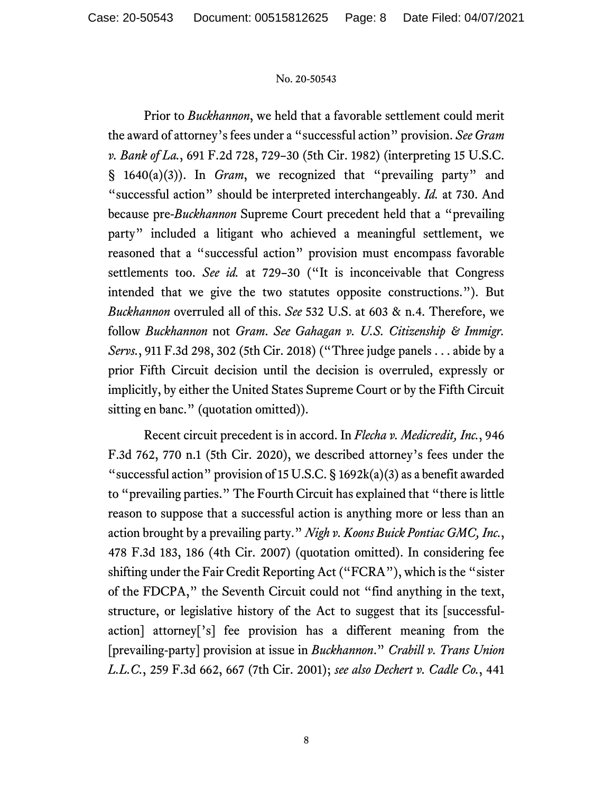Prior to *Buckhannon*, we held that a favorable settlement could merit the award of attorney's fees under a "successful action" provision. *See Gram v. Bank of La.*, 691 F.2d 728, 729–30 (5th Cir. 1982) (interpreting 15 U.S.C. § 1640(a)(3)). In *Gram*, we recognized that "prevailing party" and "successful action" should be interpreted interchangeably. *Id.* at 730. And because pre-*Buckhannon* Supreme Court precedent held that a "prevailing party" included a litigant who achieved a meaningful settlement, we reasoned that a "successful action" provision must encompass favorable settlements too. *See id.* at 729–30 ("It is inconceivable that Congress intended that we give the two statutes opposite constructions."). But *Buckhannon* overruled all of this. *See* 532 U.S. at 603 & n.4. Therefore, we follow *Buckhannon* not *Gram*. *See Gahagan v. U.S. Citizenship & Immigr. Servs.*, 911 F.3d 298, 302 (5th Cir. 2018) ("Three judge panels . . . abide by a prior Fifth Circuit decision until the decision is overruled, expressly or implicitly, by either the United States Supreme Court or by the Fifth Circuit sitting en banc." (quotation omitted)).

Recent circuit precedent is in accord. In *Flecha v. Medicredit, Inc.*, 946 F.3d 762, 770 n.1 (5th Cir. 2020), we described attorney's fees under the "successful action" provision of 15 U.S.C.  $\S$  1692k(a)(3) as a benefit awarded to "prevailing parties." The Fourth Circuit has explained that "there is little reason to suppose that a successful action is anything more or less than an action brought by a prevailing party." *Nigh v. Koons Buick Pontiac GMC, Inc.*, 478 F.3d 183, 186 (4th Cir. 2007) (quotation omitted). In considering fee shifting under the Fair Credit Reporting Act ("FCRA"), which is the "sister of the FDCPA," the Seventh Circuit could not "find anything in the text, structure, or legislative history of the Act to suggest that its [successfulaction] attorney['s] fee provision has a different meaning from the [prevailing-party] provision at issue in *Buckhannon*." *Crabill v. Trans Union L.L.C.*, 259 F.3d 662, 667 (7th Cir. 2001); *see also Dechert v. Cadle Co.*, 441